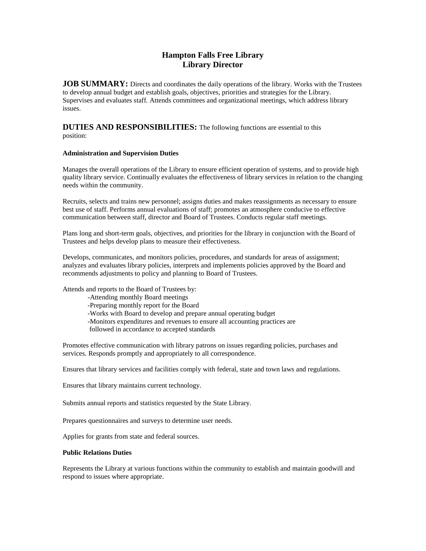# **Hampton Falls Free Library Library Director**

**JOB SUMMARY:** Directs and coordinates the daily operations of the library. Works with the Trustees to develop annual budget and establish goals, objectives, priorities and strategies for the Library. Supervises and evaluates staff. Attends committees and organizational meetings, which address library issues.

## **DUTIES AND RESPONSIBILITIES:** The following functions are essential to this position:

### **Administration and Supervision Duties**

Manages the overall operations of the Library to ensure efficient operation of systems, and to provide high quality library service. Continually evaluates the effectiveness of library services in relation to the changing needs within the community.

Recruits, selects and trains new personnel; assigns duties and makes reassignments as necessary to ensure best use of staff. Performs annual evaluations of staff; promotes an atmosphere conducive to effective communication between staff, director and Board of Trustees. Conducts regular staff meetings.

Plans long and short-term goals, objectives, and priorities for the library in conjunction with the Board of Trustees and helps develop plans to measure their effectiveness.

Develops, communicates, and monitors policies, procedures, and standards for areas of assignment; analyzes and evaluates library policies, interprets and implements policies approved by the Board and recommends adjustments to policy and planning to Board of Trustees.

Attends and reports to the Board of Trustees by:

-Attending monthly Board meetings -Preparing monthly report for the Board -Works with Board to develop and prepare annual operating budget -Monitors expenditures and revenues to ensure all accounting practices are followed in accordance to accepted standards

Promotes effective communication with library patrons on issues regarding policies, purchases and services. Responds promptly and appropriately to all correspondence.

Ensures that library services and facilities comply with federal, state and town laws and regulations.

Ensures that library maintains current technology.

Submits annual reports and statistics requested by the State Library.

Prepares questionnaires and surveys to determine user needs.

Applies for grants from state and federal sources.

#### **Public Relations Duties**

Represents the Library at various functions within the community to establish and maintain goodwill and respond to issues where appropriate.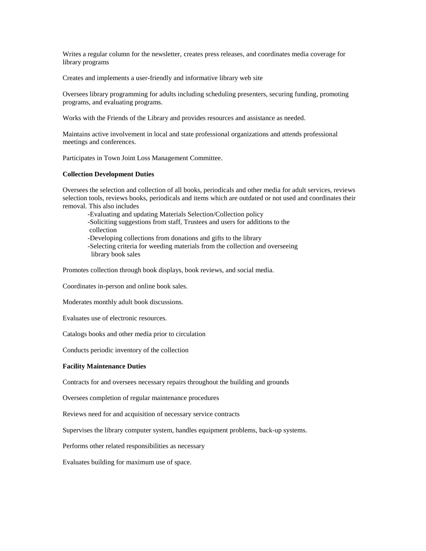Writes a regular column for the newsletter, creates press releases, and coordinates media coverage for library programs

Creates and implements a user-friendly and informative library web site

Oversees library programming for adults including scheduling presenters, securing funding, promoting programs, and evaluating programs.

Works with the Friends of the Library and provides resources and assistance as needed.

Maintains active involvement in local and state professional organizations and attends professional meetings and conferences.

Participates in Town Joint Loss Management Committee.

#### **Collection Development Duties**

Oversees the selection and collection of all books, periodicals and other media for adult services, reviews selection tools, reviews books, periodicals and items which are outdated or not used and coordinates their removal. This also includes

-Evaluating and updating Materials Selection/Collection policy

-Soliciting suggestions from staff, Trustees and users for additions to the collection

-Developing collections from donations and gifts to the library

-Selecting criteria for weeding materials from the collection and overseeing library book sales

Promotes collection through book displays, book reviews, and social media.

Coordinates in-person and online book sales.

Moderates monthly adult book discussions.

Evaluates use of electronic resources.

Catalogs books and other media prior to circulation

Conducts periodic inventory of the collection

#### **Facility Maintenance Duties**

Contracts for and oversees necessary repairs throughout the building and grounds

Oversees completion of regular maintenance procedures

Reviews need for and acquisition of necessary service contracts

Supervises the library computer system, handles equipment problems, back-up systems.

Performs other related responsibilities as necessary

Evaluates building for maximum use of space.